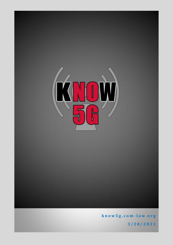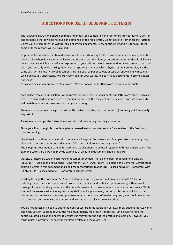# **DIRECTIONS FOR USE OF BLUEPRINT LETTER(S)**

The following instructions should be read and understood completely, in order to ensure your letter is written and formed so that it will be received and actioned by the recipient(s). Do not deviate from these instructions unless you are competent in writing legal and lawful documents. Every specific instruction is for a purpose; some of these reasons will be explained.

In general, the variables mentioned below, must be a certain way for this reason; there are obvious, and also hidden rules when dealing with the lawful and the legal world. Colours, sizes, fonts and other details all have a coded meaning which is part of your expression of your will. As it would seem odd for a Westerner to respond with "yes" verbally while shaking their head, or speaking anything which physical actions contradict, it is the same with writing legal / lawful documents. Details such as paper colour, or type of font will imply meanings which unless you understand, will likely work against your words. This can make documents "become a legal nonsense".

In law, actions hold more weight than words. "Action speaks louder than words" is very appropriate.

As language can alter jurisdiction, so can formatting. Any errors in documents and letters are often used as an excuse to disregard or ignore them if expedient to do so by the recipient such as a court. For that reason, **do not deviate** unless you know exactly what you are doing.

There are no emphasis stylings used within the instructions (beyond this preamble), as **every point is equally important**.

Please read and apply the instructions carefully, before you begin writing your letter**.** 

#### **Once your final draught is complete, please re-read instructions to prepare for a review of the final** draft, prior to sending.

Use these instructions in parallel with the relevant Blueprint Documents and Example Letters as your guide, along with the source references document "5G Source References and Legislation". The Blueprint Document is a guide for additional explanations to be used together with these instructions. The Example Letters are purely to provide examples of what final documents should look like.

OBSERVE: There are two of each type of document provided. There is one pair for government officials: 'BLUEPRINT - Objection and Demand - Government' with 'EXAMPLE ## - Objection and Demand - Government' example letters in this document and a pair for corporations: 'BLUEPRINT - Cease and Desist - Corporate' with 'EXAMPLE ## - Cease and Desist - Corporate' example letters.

Reading through the document '5G Source References and Legislation' will provide you with 12 sections, including supportive source referenced professional medical, and technical opinions, along with relevant passages from law and legislation and the penalties relevant to those quotes to use in your documents. While the sections are related, not every law or legislation will apply to every quoted professional opinion in the related section. While we have attempted to minimise the amount of reading required, you should review and use common sense to ensure the quotes and legislation are relevant to each other.

You do not necessarily need to quote the body of text from the legislation or law, simply quoting the Act Name and Year, Section, Subsection AND the maximum penalty for breach is required. Just be sure to read the specific quoted legislation and law to ensure it is relevant to the quoted professional opinion. However, you must indicate in your letter how the legislation relates to the quote used.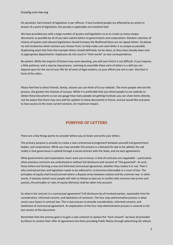On penalties: Each breach of legislation is per offence. If one hundred people are affected by an action in breach of a point of legislation, the penalty is applicable one hundred-fold.

We have provided you with a large number of quotes and legislation so as to create as many unique documents as possible by all of you who submit letters to governments and corporations. Random selection of choices of quotes and relevant legislations should increase the likelihood there are no repeat letters. So please try and randomise which sections you choose from, to help make sure each letter is as unique as possible. Duplicating exact text from the example letters should definitely not be done, as they have already been sent to appropriate departments. Duplicates do not count in "their world" as new correspondence.

Be patient. While the long list of factors may seem daunting, you will soon find it is not difficult. It just requires a little patience, and a step by step process. Learning to assemble these sorts of letters is a skill you can depend upon for the rest of your life for all sorts of legal matters, so your efforts are not in vain. One foot in front of the other…

Please feel free to direct friends, family, anyone you can think of to our website. The more people who do this process, the greater the chances of success. While it is preferable that you direct people to our website to obtain these documents so we can gauge how many people are getting involved, you can share items directly. Just be aware that there may very well be updates to these documents in future, and we would like everyone to have access to the most current versions, for maximum impact.

### **PURPOSE OF LETTERS**

There are a few things points to consider before you sit down and write your letters.

The primary purpose is actually to create a new contractual arrangement between yourself and government bodies, and corporations. While you may consider this process is a demand for law to be upheld, the sad reality is that governance is upheld through a social contract with the State, and via tacit agreements.

What governments and corporations never want you to know, is that all contracts are negotiable – particularly when previous contracts are undisclosed or without full disclosure and consent of "the governed". As such, these letters are forming a new and informed contractual agreement, whether they realise it or not. That is why contractual laws and legislation needs to be adhered to, to become enforceable in a court of law. The principles of equity shall (must) prevail where a dispute arises between statute and the common law. In other words, if statutes (which most people will refer to falsely as law) are in conflict with common law (crime and justice), the principles or rules of equity (fairness) shall be taken into account.

So what is fair and just in a contractual agreement? Full disclosure by all involved parties, reasonable time for consideration, informed consent, and lawfulness of contracts. The four step administrative process is what covers your bases in contract law. This is due process to provide consideration, informed consent, and lawfulness of contractual agreement. An explanation of the four step administrative process is covered in the last section of this document.

Remember that the primary goal is to gain a new contract to replace the "tacit consent" we have all provided by failure to contest their offer of agreement (via them providing Public Notice through advertising 5G rollouts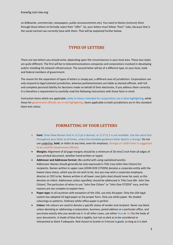on billboards, commercials, newspapers, public announcements etc). You need to Notice (instruct) them through these letters to formally reject their "offer". So, your letters must follow "their" rules, because that is the social contract we currently have with them. That will be explained further below.

### **TYPES OF LETTERS**

There are two letters you should write, depending upon the circumstances in your local area. These two styles are quite different. The first will be to telecommunications companies and corporations involved in developing and/or installing 5G network infrastructure. The second letter will be of a different type, to your local, state and federal members of government.

The reason for the separation of types of letters is simply put, a different area of jurisdiction. Corporations can only respond to legal (statute) jurisdiction, whereas parliamentarians are liable as elected officials, with full and complete personal liability for decisions made on behalf of their electorate, if you address them correctly. It is therefore a requirement to carefully read the following instructions with these facts in mind.

Instruction items which are applicable solely to letters intended for corporations are in blue highlighting, while those for government officials are in red highlighting. Items applicable to both jurisdictions are in this standard black text colour.

### **FORMATTING OF YOUR LETTERS**

- **Font:** Times New Roman font in 11.5 pt is desired, or 11 if 11.5 is not available. Use the same font throughout your letter at all times, unless the template guidance letter depicts a change. Do not use underline, **bold**, or *italics* at any time, even for emphasis. Georgia or Calibri fonts is suggested to be used for Government officials.
- **Margins:** Alignment of all page margins should be a minimum of 26 mm/1 inch from all edges of your printed document, whether hand-written or typed.
- **Addressor and Addressee format:** (Be careful with using capitalised words). Addressee: Names should generally be only expressed in Title Case (John Doe Citizen) for recipients. Names written in upper case (JOHN DOE CITIZEN) denotes a corporate entity with the lowest slave status, which you do not wish to be, but you may wish a corporate employee, director or CEO to be. Names written in all lower case (john doe) should never be used, as this denotes an infant. Addressees unless specified, should be addressed in Title Case (Mr. John Doe Citizen). The particulars of when to use "John Doe Citizen" or "John Doe CITIZEN" vary, and the reasons are too complex to explain here.
- **Paper type:** In all countries with exception of the USA, use only A4 paper. Only the USA legal system has adopted US legal paper as the proper form. Only use white paper. No shaded colourings or patterns. Ordinary white office paper is perfect.
- **Colour:** Ink colours are used to denote a specific status of sender and recipient. Never use black unless denoting or addressing a corporation, business, postal address or a particular office, and you know exactly why you would use it. In all other cases, use either blue or red for the body of your documents. A shade of blue that is legible, but not so dark as to be considered or interpreted as black if adequate. Red closest to Scarlet or Crimson is good, so long as it is dark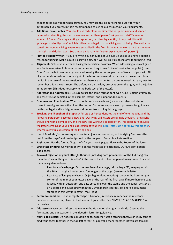enough to be easily read when printed. You may use this colour scheme purely for your autograph if you prefer, but it is recommended to use colour throughout your documents.

- **Additional colour notes:** You should use red colour for either the recipient name and sender name when denoting the man or woman, rather than 'person'. (A 'person' is NOT a man or woman. A 'person' is a legal entity, corporation, or other legal entity of responsibility with 'privileges and obligations' which is utilised as a legal tool by a living soul or being. The entity that constitutes you as a living awareness embodied in the flesh is the man or woman – this is where the 'rights and duties' exist. See a legal dictionary for further explanations of 'person').
- **Printed vs handwritten**: If you are writing by hand, do not use cursive unless you have a specific reason for using it. Make sure it is easily legible, or it will be likely disposed of without being read.
- **Alignment:** Picture your letter as having three vertical columns**.** When addressing a servant (such as a Parliamentarian, Policeman or someone working in any Office of service to the public), keep "them" on the left column, as you are addressing the letter recipient as a Servant of your will. All of your details remain on the far right of the letter. Any neutral parties are in the centre column (which in the case of the expression letter, there are no neutral parties involved). An easy way to remember this is a court room. The defendant on the left, prosecution on the right, and the judge in the centre. (This does not apply to the body text of the letter).
- **Addressor and Addressee(s):** Be sure to use the same format, font type / size / colour, grammar, and case type as depicted in the example letter(s) and blueprint documents.
- **Grammar and Punctuation:** When in doubt, reference a book (or a respectable website) on correct use of grammar – the older, the better. Do not rely upon a word processor for guidance on this, as legal and lawful grammar is different from colloquial language.
- **Breaking the Thought (Full Stops):** A full stop or Period denotes the end of one thought, and the following paragraph becomes a new one. Our living will letters are a single thought. Paragraphs should end with a semi-colon, and the new line without a capital letter. This procedure ensures the letter remains as your single expression of your will. Legal letters do not follow this practice, whereas a lawful expression of the living does.
- **Use of Brackets:** Do not use square brackets [ ] in your sentences, as this styling "removes the text from the page" and can be ignored by the recipient. Round brackets are fine.
- **Pagination:** Use the format "Page 1 of 3" if you have 3 pages. Place in the Footer of the letter.
- **Single face printing:** Only print or write on the front face of each page. DO NOT print doublesided pages.
- **To avoid rejection of your Letter:** Authorities (including corrupt members of the Judiciary) can claim they "see nothing on this letter" if the rear is blank. It has happened many times. To avoid them being able to do so:
	- o **Rear face of each page:** On the rear face of any page, print a large "Z", keeping within the 26mm margins border on all four edges of the page. (see example letter)
	- o **Rear face of last page:** Place a 10c (or higher denomination) stamp in the bottom right corner of the rear of your letter page, or the rear of the final page if more than one page is used, with an autograph and date spreading over the stamp and the paper, written at a 45 degree angle, keeping within the 25mm margins border. To ignore a document stamped in this way is in effect, Mail Fraud.
- **Reference number:** Use your registered post barcode / reference number as the reference number for your letter, placed in the Header of your letter. See "ENVELOPE AND MAILING" for particulars
- **Addressor:** Place your address and name in the Header on the right hand side. Observe the formatting and punctuation in the Blueprint letter for guidance.
- **Multi-page letters:** Do not staple multiple pages together. Use a strong adhesive or sticky tape to bind your pages together in the top left corner, or paperclip them together. (If you are familiar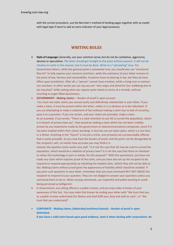with the correct procedure, use the Barrister's method of binding pages together with an eyelet with legal tape if want to add an extra indicator of your legal prowess).

#### **WRITING RULES**

- **Style of Language:** Generally, use your common sense, but do not be combative, aggressive, abusive or speculative. The letter should get straight to the point without passion. It will not be intuitive to write in this manner, but it must be done. Write in a "calculating" tone. For Government letters, while this general point is somewhat true, you should also use "emotional flourish" to fully express your concerns and fears, while the substance of your letter remains to the point of law, fairness and reasonability. Emotions have no bearing in law, but they do have effect upon jurisdiction. After all, a "person" cannot have emotion, while a living man or woman can and does. In other words you can say you are "very angry and afraid for Our wellbeing due to (an injustice)" while stating what you require quite clearly in terms of a remedy, without resorting to anger-filled abusiveness.
- **GOVERNMENT - Making claims:** Burden of proof is upon accuser:

You must not make claims you cannot easily and definitively substantiate in your letter. If you make a claim, it must be proven within the letter, unless it is so obvious as to be redundant. If you are attempting to make a statement of fact without making a claim due to lack of certainty, pose it as a question. If you are certain, and your claims are provable, make a claim. As an example, if you wrote: "There is a clear intention to use 5G to surveil the population, which is in breach of privacy laws xyz", that would be making a claim which has not been credibly proven by any statements made by the government or telecommunications companies, (even if it has been implied within their clever wording). It also has not yet taken place, which is a non-fact, or a fiction. Anything in the "future" is not yet a crime, and certainly not a prosecutable offense that is easily provable. So you now have the burden of proof, and the point can be disregarded at the recipient's will, no matter how accurate you may think it is.

Instead, the question tactic works very well: "Is it not the case that 5G may be used to surveil the population, which would be a violation of privacy laws? Is it not the case that there an intention to utilize this technology in part or whole, for this purpose?" With this question(s), you have not made any claim which requires proof of the claim, and you have also set up the recipient to be required to respond appropriately by rebutting the implied claim, (which they will not be able to do). Making claims without proof gives the appearance of hostility which should be avoided. If you pose such questions in your letter, remember that you must command BUT NOT ABUSE the recipient to respond to your question. They are not obliged to answer your questions unless you command them to do so. When issuing commands, use respectful and polite wording to avoid being perceived as belligerent.

- In Government, any sitting official is a public trustee, and you may make it known of your awareness of this fact. You may make that known by ending your letter with "We trust that you as a public trustee understand Our Notice and shall fulfil your duty and oath as such", or "We trust that you understand".
- **CORPORATE - Making claims: (Admiralty/maritime/statute) – Burden of proof is upon defendant:**

**If you have a valid claim based upon good evidence, state it when dealing with corporations. Be**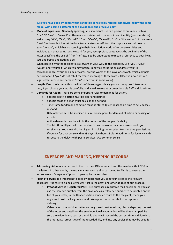**sure you have good evidence which cannot be conceivably refuted. Otherwise, follow the same model with posing a statement as a question in the previous point.** 

 **Mode of expression:** Generally speaking, you should not use first person expressions such as "me", "I', "my" or "myself" as these are associated with ownership and identity ('person' status). Write using "We", "Our", "Ourself", "One", "One's", "Oneself", "Us" or "this author". It may seem "posh" to do so, but it must be done to separate yourself from the corporate entity known as your "person", which has no standing in their dead-fiction world of corporate entities and individuals. If that seems too awkward for you, use a preface sentence at the beginning of the letter specifying the use of "I" or "me" etc. is to be understood to mean a reference to your living soul and being, and nothing else.

When dealing with the recipient as a servant of your will, do the opposite. Use "you", "your", "yours" and "yourself" which you may notice, is how all corporations address "you" in correspondence. "You" and similar words, are the words of the slave or servant, which compels performance if "you" do not rebut the veiled meaning of those words. (Have you ever noticed legal letters accuse and demand "you" to perform in some way?)

- **Length:** Keep the letter within the limits of three pages. Ideally you can compress it to one or two, if you choose your words carefully, and avoid irrelevant or un-actionable fluff and flourishes.
- **Demands for Action:** There are some important rules to demands for action.
	- o Specific positive action must be clear and defined
	- o Specific cease of action must be clear and defined
	- o Time frame for demand of action must be stated (given reasonable time to act / cease / respond)
	- o Date of letter must be specified as a reference point for demand of action or ceasing of activity
	- o Action demands must be within the bounds of the recipient's ability.
	- $\circ$  You MUST be diligent with responding in due course to their responses should you receive any. You must also be diligent in holding the recipient to strict time permissions. If you ask for a response within 28 days, give them 28 plus 6 additional for leniency with respect to the delays with postal services. Use common sense.

# **ENVELOPE AND MAILING, KEEPING RECORDS**

- **Addressing:** Address your letters to them in their Official capacity on the envelope (but NOT in the letter). In other words, the usual manner we are all accustomed to. This is to ensure the letters are not "suspicious" prior to opening by the recipient(s).
- **Proof of Service**: It is important to keep evidence that you sent your letter to the relevant addresses. It is easy to claim a letter was 'lost in the post" and other dodges of due process.
	- o **Proof of Service (Registered Post):** Pre-purchase a registered mail envelope, so you can use the barcode number from the envelope as a reference number to be printed on the top of your letter, in the Header section. Once en route to the recipient, check your registered post tracking online, and take a photo or screenshot of acceptance of delivery.

Video record the unfolded letter and registered post envelope, clearly depicting the text of the letter and details on the envelope. Ideally your video will be time-stamped. Be sure the video device such as a mobile phone will record the current time and date into the metadata (properties) of the recorded file, and into any copies that may be used for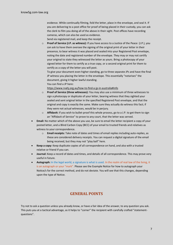evidence. While continually filming, fold the letter, place in the envelope, and seal it. If you are delivering to a post office for proof of being placed in their custody, you can ask the clerk to film you doing all of the above in their sight. Post offices have recording cameras, which can also be used as evidence.

Send via registered mail, and keep the receipt.

o **Proof of Service (J.P. as witness):** If you have access to a Justice of the Peace (J.P.), you can ask to have them oversee the signing of the original print of your letter in their presence, to bear witness it was placed and sealed into your Registered Post envelope, noting the date and registered number of the envelope. They may or may not certify your original to state they witnessed the letter as yours. Bring a photocopy of your signed letter for them to certify as a true copy, or a second original print for them to certify as a copy of the letter you will post.

To give your document even higher standing, go to three separate JPs and have the final JP witness you placing the letter in the envelope. This essentially "notarises" the document, giving it higher lawful standing.

You can find a JP here:

<https://www.rvahj.org.au/how-to-find-a-jp-in-australia#info>

- o **Proof of Service (three witnesses):** You may also use a minimum of three witnesses to sign a photocopy or duplicate of your letter, bearing witness that they sighted your sealed and sent original letter in the specified Registered Post envelope, and that the original and copy is exactly the same. Make sure they actually do witness this fact; if they were not actual witnesses, would be in perjury.
- o **Affidavit:** If you wish to bullet-proof this whole process, go to a J.P. to get them to sign an "Affidavit of Service" to prove to any court, that the letter was served.
- **Email:** No matter which of the above you use, be sure to email the letter recipient a copy of your posted letter, and a Blind Carbon Copy (BCC) of your email to trusted friends and relatives as witness to your correspondence.
	- o **Email receipts:** Take note of dates and times of email replies including auto-replies, as these are considered delivery receipts. You can request a digital signature of the email being received, but they may not "play ball" here.
- **Keep a copy:** Keep duplicate copies of all correspondence on hand, and also with a trusted relative or friend if you can.
- **Journal:** Keep a record of dates and times, and details of all correspondence. This may prove very useful in future.
- **Autograph:** In the legal world, a signature is what is used. In the realm of real law of the living, it is an autograph or your "mark". Please see the Example Notice for how to autograph your Notice/s for the correct method, and do not deviate. You will see that this changes, depending upon the type of Notice.

# **GENERAL POINTS**

Try not to ask a question unless you already know, or have a fair idea of the answer, to any question you ask. This puts you at a tactical advantage, as it helps to "corner" the recipient with carefully crafted "statementquestions".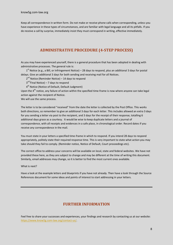Keep all correspondence in written form. Do not make or receive phone calls when corresponding, unless you have experience in these types of circumstances, and are familiar with legal language and all its pitfalls. If you do receive a call by surprise, immediately insist they must correspond in writing, effective immediately.

# **ADMINISTRATIVE PROCEDURE (4-STEP PROCESS)**

As you may have experienced yourself, there is a general procedure that has been adopted in dealing with administrative processes. The general rule is:

1<sup>st</sup> Notice (e.g., a Bill, or Infringement Notice) – 28 days to respond, plus an additional 3 days for postal delays. Give an additional 3 days for both sending and receiving mail for all Notices.

2<sup>nd</sup> Notice (Reminder Notice) – 14 days to respond

3<sup>rd (</sup>Final Notice) – 7 days to respond

4<sup>th</sup> Notice (Notice of Default, Default Judgment)

Upon the  $4^{th}$  notice, any failure of action within the specified time-frame is now where anyone can take legal action against the recipient of Notice.

We will use the same process.

The letter is to be considered "received" from the date the letter is collected by the Post Office. This works both directions, so remember to give an additional 3 days for each letter. This includes allowed an extra 3 days for you sending a letter via post to the recipient, and 3 days for the receipt of their response, totalling 6 additional days grace as a courtesy. It would be wise to keep duplicate letters and a journal of correspondence, with all receipts and evidences in a safe place, in chronological order. Record dates if you receive any correspondence in the mail.

You must state in your letters a specified time-frame in which to respond. If you intend 28 days to respond appropriately, politely state their required response time. This is very important to state what action you may take should they fail to comply. (Reminder notice, Notice of Default, Court proceedings etc).

The correct office to address your concerns will be available on local, state and federal websites. We have not provided these here, as they are subject to change and may be different at the time of writing this document. Similarly, email addresses may change, so it is better to find the most current ones available.

What is next?

Have a look at the example letters and blueprints if you have not already. Then have a look through the Source References document for some ideas and points of interest to start addressing in your letters.

### **FURTHER INFORMATION**

Feel free to share your successes and experiences, your findings and research by contacting us at our website: [https://www.know5g.com-law.org/contact-us/.](https://www.know5g.com-law.org/contact-us/)